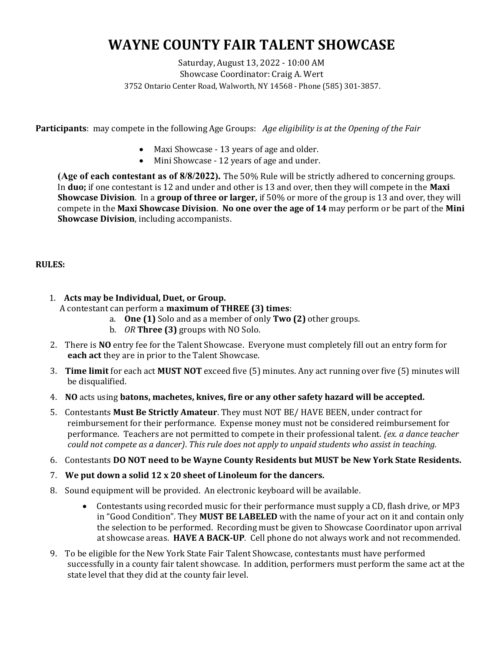# WAYNE COUNTY FAIR TALENT SHOWCASE

### Saturday, August 13, 2022 - 10:00 AM Showcase Coordinator: Craig A. Wert 3752 Ontario Center Road, Walworth, NY 14568 - Phone (585) 301-3857.

**Participants:** may compete in the following Age Groups: Age eligibility is at the Opening of the Fair

- Maxi Showcase 13 years of age and older.
- Mini Showcase 12 years of age and under.

(Age of each contestant as of 8/8/2022). The 50% Rule will be strictly adhered to concerning groups. In **duo**; if one contestant is 12 and under and other is 13 and over, then they will compete in the **Maxi** Showcase Division. In a group of three or larger, if 50% or more of the group is 13 and over, they will compete in the Maxi Showcase Division. No one over the age of 14 may perform or be part of the Mini Showcase Division, including accompanists.

## RULES:

- 1. Acts may be Individual, Duet, or Group. A contestant can perform a maximum of THREE (3) times:
	- a. One (1) Solo and as a member of only Two (2) other groups.
	- b. OR Three (3) groups with NO Solo.
- 2. There is NO entry fee for the Talent Showcase. Everyone must completely fill out an entry form for each act they are in prior to the Talent Showcase.
- 3. Time limit for each act MUST NOT exceed five (5) minutes. Any act running over five (5) minutes will be disqualified.
- 4. NO acts using batons, machetes, knives, fire or any other safety hazard will be accepted.
- 5. Contestants Must Be Strictly Amateur. They must NOT BE/ HAVE BEEN, under contract for reimbursement for their performance. Expense money must not be considered reimbursement for performance. Teachers are not permitted to compete in their professional talent. (ex. a dance teacher could not compete as a dancer). This rule does not apply to unpaid students who assist in teaching.
- 6. Contestants DO NOT need to be Wayne County Residents but MUST be New York State Residents.
- 7. We put down a solid 12 x 20 sheet of Linoleum for the dancers.
- 8. Sound equipment will be provided. An electronic keyboard will be available.
	- Contestants using recorded music for their performance must supply a CD, flash drive, or MP3 in "Good Condition". They **MUST BE LABELED** with the name of your act on it and contain only the selection to be performed. Recording must be given to Showcase Coordinator upon arrival at showcase areas. HAVE A BACK-UP. Cell phone do not always work and not recommended.
- 9. To be eligible for the New York State Fair Talent Showcase, contestants must have performed successfully in a county fair talent showcase. In addition, performers must perform the same act at the state level that they did at the county fair level.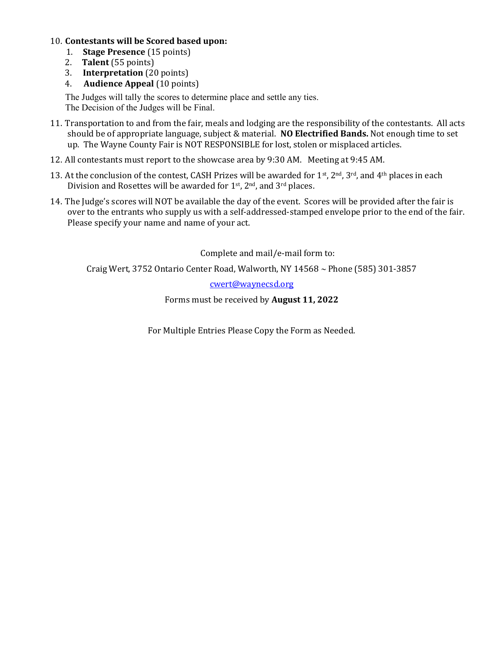### 10. Contestants will be Scored based upon:

- 1. Stage Presence (15 points)
- 2. Talent (55 points)
- 3. Interpretation (20 points)
- 4. Audience Appeal (10 points)

 The Judges will tally the scores to determine place and settle any ties. The Decision of the Judges will be Final.

- 11. Transportation to and from the fair, meals and lodging are the responsibility of the contestants. All acts should be of appropriate language, subject & material. NO Electrified Bands. Not enough time to set up. The Wayne County Fair is NOT RESPONSIBLE for lost, stolen or misplaced articles.
- 12. All contestants must report to the showcase area by 9:30 AM. Meeting at 9:45 AM.
- 13. At the conclusion of the contest, CASH Prizes will be awarded for 1<sup>st</sup>, 2<sup>nd</sup>, 3<sup>rd</sup>, and 4<sup>th</sup> places in each Division and Rosettes will be awarded for  $1<sup>st</sup>$ ,  $2<sup>nd</sup>$ , and  $3<sup>rd</sup>$  places.
- 14. The Judge's scores will NOT be available the day of the event. Scores will be provided after the fair is over to the entrants who supply us with a self-addressed-stamped envelope prior to the end of the fair. Please specify your name and name of your act.

Complete and mail/e-mail form to:

Craig Wert, 3752 Ontario Center Road, Walworth, NY 14568  $\sim$  Phone (585) 301-3857

cwert@waynecsd.org

Forms must be received by August 11, 2022

For Multiple Entries Please Copy the Form as Needed.